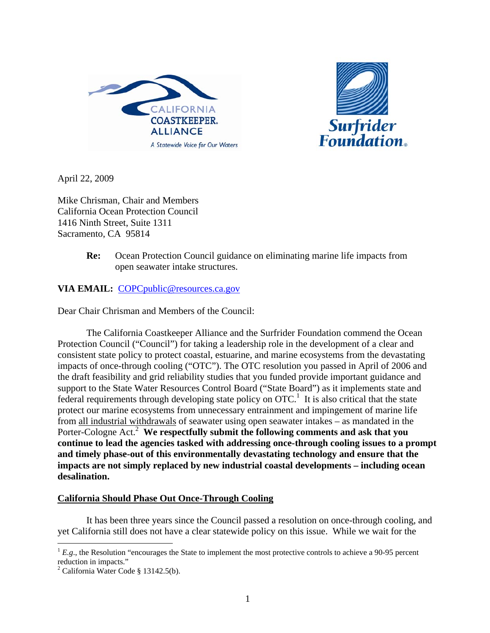



April 22, 2009

Mike Chrisman, Chair and Members California Ocean Protection Council 1416 Ninth Street, Suite 1311 Sacramento, CA 95814

> **Re:** Ocean Protection Council guidance on eliminating marine life impacts from open seawater intake structures.

**VIA EMAIL:** COPCpublic@resources.ca.gov

Dear Chair Chrisman and Members of the Council:

 The California Coastkeeper Alliance and the Surfrider Foundation commend the Ocean Protection Council ("Council") for taking a leadership role in the development of a clear and consistent state policy to protect coastal, estuarine, and marine ecosystems from the devastating impacts of once-through cooling ("OTC"). The OTC resolution you passed in April of 2006 and the draft feasibility and grid reliability studies that you funded provide important guidance and support to the State Water Resources Control Board ("State Board") as it implements state and federal requirements through developing state policy on  $\text{OTC}^1$ . It is also critical that the state protect our marine ecosystems from unnecessary entrainment and impingement of marine life from all industrial withdrawals of seawater using open seawater intakes – as mandated in the Porter-Cologne Act.<sup>2</sup> We respectfully submit the following comments and ask that you **continue to lead the agencies tasked with addressing once-through cooling issues to a prompt and timely phase-out of this environmentally devastating technology and ensure that the impacts are not simply replaced by new industrial coastal developments – including ocean desalination.** 

#### **California Should Phase Out Once-Through Cooling**

 It has been three years since the Council passed a resolution on once-through cooling, and yet California still does not have a clear statewide policy on this issue. While we wait for the

 $\overline{a}$  ${}^{1}E.g.,$  the Resolution "encourages the State to implement the most protective controls to achieve a 90-95 percent reduction in impacts."

<sup>2</sup> California Water Code § 13142.5(b).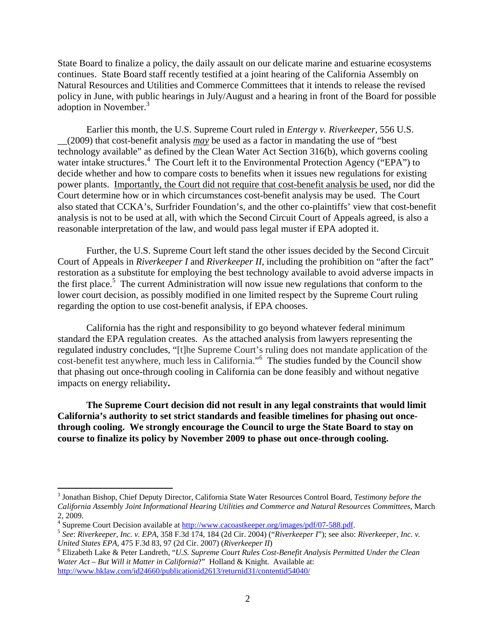State Board to finalize a policy, the daily assault on our delicate marine and estuarine ecosystems continues. State Board staff recently testified at a joint hearing of the California Assembly on Natural Resources and Utilities and Commerce Committees that it intends to release the revised policy in June, with public hearings in July/August and a hearing in front of the Board for possible  $\frac{1}{2}$ adoption in November.<sup>3</sup>

 Earlier this month, the U.S. Supreme Court ruled in *Entergy v. Riverkeeper*, 556 U.S. \_\_(2009) that cost-benefit analysis *may* be used as a factor in mandating the use of "best technology available" as defined by the Clean Water Act Section 316(b), which governs cooling water intake structures.<sup>4</sup> The Court left it to the Environmental Protection Agency ("EPA") to decide whether and how to compare costs to benefits when it issues new regulations for existing power plants. Importantly, the Court did not require that cost-benefit analysis be used, nor did the Court determine how or in which circumstances cost-benefit analysis may be used. The Court also stated that CCKA's, Surfrider Foundation's, and the other co-plaintiffs' view that cost-benefit analysis is not to be used at all, with which the Second Circuit Court of Appeals agreed, is also a reasonable interpretation of the law, and would pass legal muster if EPA adopted it.

Further, the U.S. Supreme Court left stand the other issues decided by the Second Circuit Court of Appeals in *Riverkeeper I* and *Riverkeeper II,* including the prohibition on "after the fact" restoration as a substitute for employing the best technology available to avoid adverse impacts in the first place.<sup>5</sup> The current Administration will now issue new regulations that conform to the lower court decision, as possibly modified in one limited respect by the Supreme Court ruling regarding the option to use cost-benefit analysis, if EPA chooses.

 California has the right and responsibility to go beyond whatever federal minimum standard the EPA regulation creates. As the attached analysis from lawyers representing the regulated industry concludes, "[t]he Supreme Court's ruling does not mandate application of the cost-benefit test anywhere, much less in California."<sup>6</sup> The studies funded by the Council show that phasing out once-through cooling in California can be done feasibly and without negative impacts on energy reliability**.** 

 **The Supreme Court decision did not result in any legal constraints that would limit California's authority to set strict standards and feasible timelines for phasing out oncethrough cooling. We strongly encourage the Council to urge the State Board to stay on course to finalize its policy by November 2009 to phase out once-through cooling.**

1

<sup>3</sup> Jonathan Bishop, Chief Deputy Director, California State Water Resources Control Board, *Testimony before the California Assembly Joint Informational Hearing Utilities and Commerce and Natural Resources Committees*, March 2, 2009.

<sup>&</sup>lt;sup>4</sup> Supreme Court Decision available at http://www.cacoastkeeper.org/images/pdf/07-588.pdf.

 $5$  See: Riverkeeper, Inc. v. EPA, 358 F.3d 174, 184 (2d Cir. 2004) ("Riverkeeper I"); see also: Riverkeeper, Inc. v. *United States EPA*, 475 F.3d 83, 97 (2d Cir. 2007) (*Riverkeeper II*) 6

Elizabeth Lake & Peter Landreth, "*U.S. Supreme Court Rules Cost-Benefit Analysis Permitted Under the Clean Water Act – But Will it Matter in California*?" Holland & Knight. Available at: http://www.hklaw.com/id24660/publicationid2613/returnid31/contentid54040/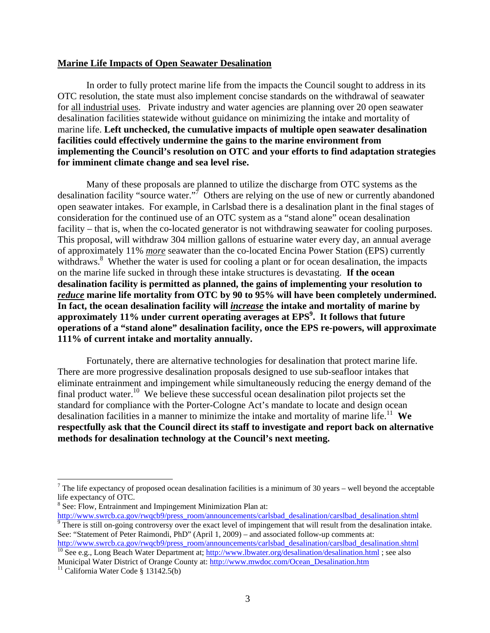#### **Marine Life Impacts of Open Seawater Desalination**

 In order to fully protect marine life from the impacts the Council sought to address in its OTC resolution, the state must also implement concise standards on the withdrawal of seawater for all industrial uses. Private industry and water agencies are planning over 20 open seawater desalination facilities statewide without guidance on minimizing the intake and mortality of marine life. **Left unchecked, the cumulative impacts of multiple open seawater desalination facilities could effectively undermine the gains to the marine environment from implementing the Council's resolution on OTC and your efforts to find adaptation strategies for imminent climate change and sea level rise.**

Many of these proposals are planned to utilize the discharge from OTC systems as the desalination facility "source water."<sup>7</sup> Others are relying on the use of new or currently abandoned open seawater intakes. For example, in Carlsbad there is a desalination plant in the final stages of consideration for the continued use of an OTC system as a "stand alone" ocean desalination facility – that is, when the co-located generator is not withdrawing seawater for cooling purposes. This proposal, will withdraw 304 million gallons of estuarine water every day, an annual average of approximately 11% *more* seawater than the co-located Encina Power Station (EPS) currently withdraws.<sup>8</sup> Whether the water is used for cooling a plant or for ocean desalination, the impacts on the marine life sucked in through these intake structures is devastating. **If the ocean desalination facility is permitted as planned, the gains of implementing your resolution to**  *reduce* **marine life mortality from OTC by 90 to 95% will have been completely undermined. In fact, the ocean desalination facility will** *increase* **the intake and mortality of marine by approximately 11% under current operating averages at EPS<sup>9</sup> . It follows that future operations of a "stand alone" desalination facility, once the EPS re-powers, will approximate 111% of current intake and mortality annually.** 

Fortunately, there are alternative technologies for desalination that protect marine life. There are more progressive desalination proposals designed to use sub-seafloor intakes that eliminate entrainment and impingement while simultaneously reducing the energy demand of the final product water.<sup>10</sup> We believe these successful ocean desalination pilot projects set the standard for compliance with the Porter-Cologne Act's mandate to locate and design ocean desalination facilities in a manner to minimize the intake and mortality of marine life.<sup>11</sup> We **respectfully ask that the Council direct its staff to investigate and report back on alternative methods for desalination technology at the Council's next meeting.** 

1

<sup>&</sup>lt;sup>7</sup> The life expectancy of proposed ocean desalination facilities is a minimum of 30 years – well beyond the acceptable life expectancy of OTC.

<sup>&</sup>lt;sup>8</sup> See: Flow, Entrainment and Impingement Minimization Plan at:

http://www.swrcb.ca.gov/rwqcb9/press\_room/announcements/carlsbad\_desalination/carslbad\_desalination.shtml  $\frac{1}{9}$  There is still on-going controversy over the exact level of impingement that will result from the desalination intake. See: "Statement of Peter Raimondi, PhD" (April 1, 2009) – and associated follow-up comments at:

http://www.swrcb.ca.gov/rwqcb9/press\_room/announcements/carlsbad\_desalination/carslbad\_desalination.shtml 10 See e.g., Long Beach Water Department at; http://www.lbwater.org/desalination/desalination.html ; see also Municipal Water District of Orange County at: http://www.mwdoc.com/Ocean\_Desalination.htm <sup>11</sup> California Water Code § 13142.5(b)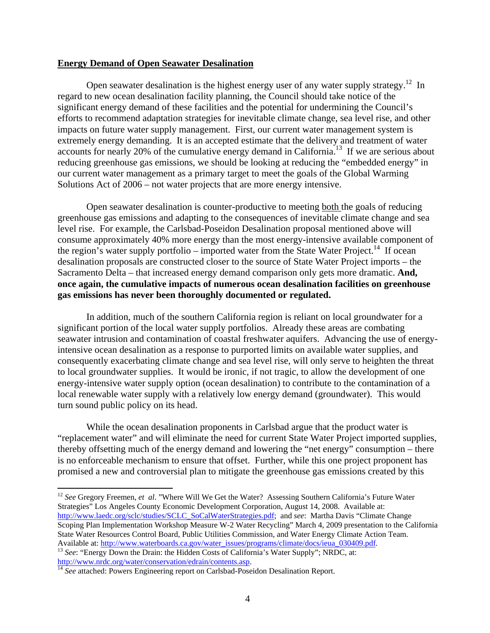#### **Energy Demand of Open Seawater Desalination**

Open seawater desalination is the highest energy user of any water supply strategy.<sup>12</sup> In regard to new ocean desalination facility planning, the Council should take notice of the significant energy demand of these facilities and the potential for undermining the Council's efforts to recommend adaptation strategies for inevitable climate change, sea level rise, and other impacts on future water supply management. First, our current water management system is extremely energy demanding. It is an accepted estimate that the delivery and treatment of water accounts for nearly 20% of the cumulative energy demand in California.<sup>13</sup> If we are serious about reducing greenhouse gas emissions, we should be looking at reducing the "embedded energy" in our current water management as a primary target to meet the goals of the Global Warming Solutions Act of 2006 – not water projects that are more energy intensive.

Open seawater desalination is counter-productive to meeting both the goals of reducing greenhouse gas emissions and adapting to the consequences of inevitable climate change and sea level rise. For example, the Carlsbad-Poseidon Desalination proposal mentioned above will consume approximately 40% more energy than the most energy-intensive available component of the region's water supply portfolio – imported water from the State Water Project.<sup>14</sup> If ocean desalination proposals are constructed closer to the source of State Water Project imports – the Sacramento Delta – that increased energy demand comparison only gets more dramatic. **And, once again, the cumulative impacts of numerous ocean desalination facilities on greenhouse gas emissions has never been thoroughly documented or regulated.** 

In addition, much of the southern California region is reliant on local groundwater for a significant portion of the local water supply portfolios. Already these areas are combating seawater intrusion and contamination of coastal freshwater aquifers. Advancing the use of energyintensive ocean desalination as a response to purported limits on available water supplies, and consequently exacerbating climate change and sea level rise, will only serve to heighten the threat to local groundwater supplies. It would be ironic, if not tragic, to allow the development of one energy-intensive water supply option (ocean desalination) to contribute to the contamination of a local renewable water supply with a relatively low energy demand (groundwater). This would turn sound public policy on its head.

While the ocean desalination proponents in Carlsbad argue that the product water is "replacement water" and will eliminate the need for current State Water Project imported supplies, thereby offsetting much of the energy demand and lowering the "net energy" consumption – there is no enforceable mechanism to ensure that offset. Further, while this one project proponent has promised a new and controversial plan to mitigate the greenhouse gas emissions created by this

1 <sup>12</sup> See Gregory Freemen, et al. "Where Will We Get the Water? Assessing Southern California's Future Water Strategies" Los Angeles County Economic Development Corporation, August 14, 2008. Available at: http://www.laedc.org/sclc/studies/SCLC\_SoCalWaterStrategies.pdf; and *see*: Martha Davis "Climate Change Scoping Plan Implementation Workshop Measure W-2 Water Recycling" March 4, 2009 presentation to the California State Water Resources Control Board, Public Utilities Commission, and Water Energy Climate Action Team. Available at: http://www.waterboards.ca.gov/water\_issues/programs/climate/docs/ieua\_030409.pdf. <sup>13</sup> *See*: "Energy Down the Drain: the Hidden Costs of California's Water Supply"; NRDC, at:

http://www.nrdc.org/water/conservation/edrain/contents.asp. 14 *See* attached: Powers Engineering report on Carlsbad-Poseidon Desalination Report.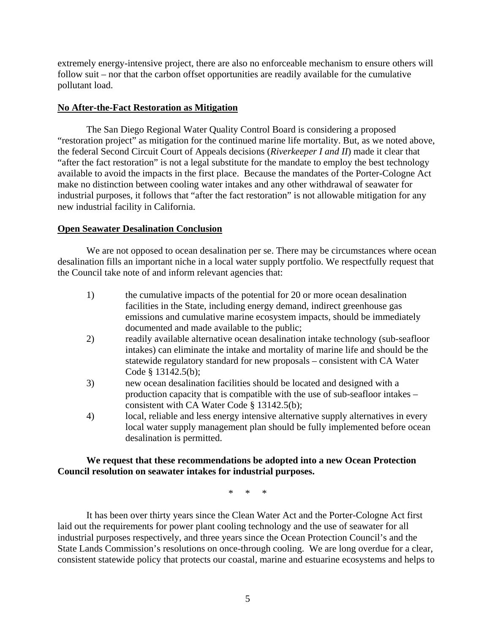extremely energy-intensive project, there are also no enforceable mechanism to ensure others will follow suit – nor that the carbon offset opportunities are readily available for the cumulative pollutant load.

#### **No After-the-Fact Restoration as Mitigation**

The San Diego Regional Water Quality Control Board is considering a proposed "restoration project" as mitigation for the continued marine life mortality. But, as we noted above, the federal Second Circuit Court of Appeals decisions (*Riverkeeper I and II*) made it clear that "after the fact restoration" is not a legal substitute for the mandate to employ the best technology available to avoid the impacts in the first place. Because the mandates of the Porter-Cologne Act make no distinction between cooling water intakes and any other withdrawal of seawater for industrial purposes, it follows that "after the fact restoration" is not allowable mitigation for any new industrial facility in California.

#### **Open Seawater Desalination Conclusion**

We are not opposed to ocean desalination per se. There may be circumstances where ocean desalination fills an important niche in a local water supply portfolio. We respectfully request that the Council take note of and inform relevant agencies that:

- 1) the cumulative impacts of the potential for 20 or more ocean desalination facilities in the State, including energy demand, indirect greenhouse gas emissions and cumulative marine ecosystem impacts, should be immediately documented and made available to the public;
- 2) readily available alternative ocean desalination intake technology (sub-seafloor intakes) can eliminate the intake and mortality of marine life and should be the statewide regulatory standard for new proposals – consistent with CA Water Code § 13142.5(b);
- 3) new ocean desalination facilities should be located and designed with a production capacity that is compatible with the use of sub-seafloor intakes – consistent with CA Water Code § 13142.5(b);
- 4) local, reliable and less energy intensive alternative supply alternatives in every local water supply management plan should be fully implemented before ocean desalination is permitted.

#### **We request that these recommendations be adopted into a new Ocean Protection Council resolution on seawater intakes for industrial purposes.**

\* \* \*

 It has been over thirty years since the Clean Water Act and the Porter-Cologne Act first laid out the requirements for power plant cooling technology and the use of seawater for all industrial purposes respectively, and three years since the Ocean Protection Council's and the State Lands Commission's resolutions on once-through cooling. We are long overdue for a clear, consistent statewide policy that protects our coastal, marine and estuarine ecosystems and helps to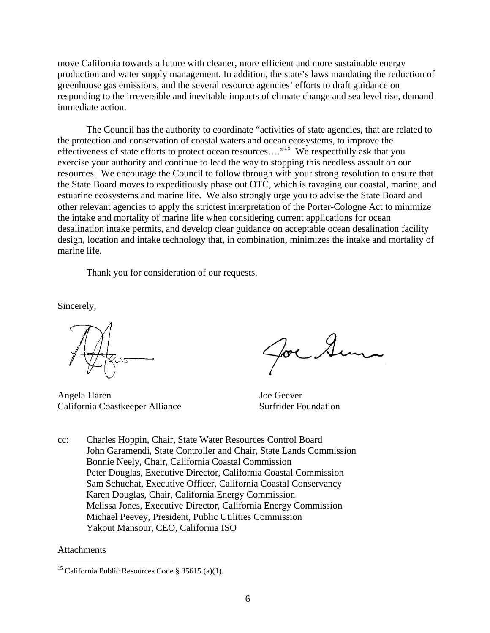move California towards a future with cleaner, more efficient and more sustainable energy production and water supply management. In addition, the state's laws mandating the reduction of greenhouse gas emissions, and the several resource agencies' efforts to draft guidance on responding to the irreversible and inevitable impacts of climate change and sea level rise, demand immediate action.

The Council has the authority to coordinate "activities of state agencies, that are related to the protection and conservation of coastal waters and ocean ecosystems, to improve the effectiveness of state efforts to protect ocean resources…."15 We respectfully ask that you exercise your authority and continue to lead the way to stopping this needless assault on our resources. We encourage the Council to follow through with your strong resolution to ensure that the State Board moves to expeditiously phase out OTC, which is ravaging our coastal, marine, and estuarine ecosystems and marine life. We also strongly urge you to advise the State Board and other relevant agencies to apply the strictest interpretation of the Porter-Cologne Act to minimize the intake and mortality of marine life when considering current applications for ocean desalination intake permits, and develop clear guidance on acceptable ocean desalination facility design, location and intake technology that, in combination, minimizes the intake and mortality of marine life.

Thank you for consideration of our requests.

Sincerely,

Angela Haren Joe Geever California Coastkeeper Alliance Surfrider Foundation

cc: Charles Hoppin, Chair, State Water Resources Control Board John Garamendi, State Controller and Chair, State Lands Commission Bonnie Neely, Chair, California Coastal Commission Peter Douglas, Executive Director, California Coastal Commission Sam Schuchat, Executive Officer, California Coastal Conservancy Karen Douglas, Chair, California Energy Commission Melissa Jones, Executive Director, California Energy Commission Michael Peevey, President, Public Utilities Commission Yakout Mansour, CEO, California ISO

#### Attachments

 $\overline{a}$ 

<sup>&</sup>lt;sup>15</sup> California Public Resources Code § 35615 (a)(1).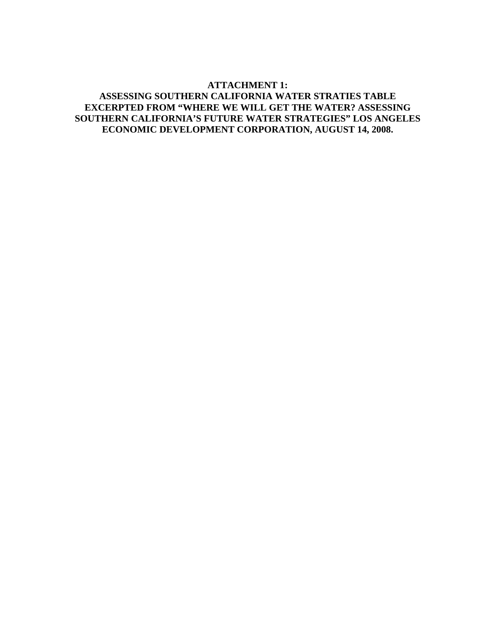#### **ATTACHMENT 1: ASSESSING SOUTHERN CALIFORNIA WATER STRATIES TABLE EXCERPTED FROM "WHERE WE WILL GET THE WATER? ASSESSING SOUTHERN CALIFORNIA'S FUTURE WATER STRATEGIES" LOS ANGELES ECONOMIC DEVELOPMENT CORPORATION, AUGUST 14, 2008.**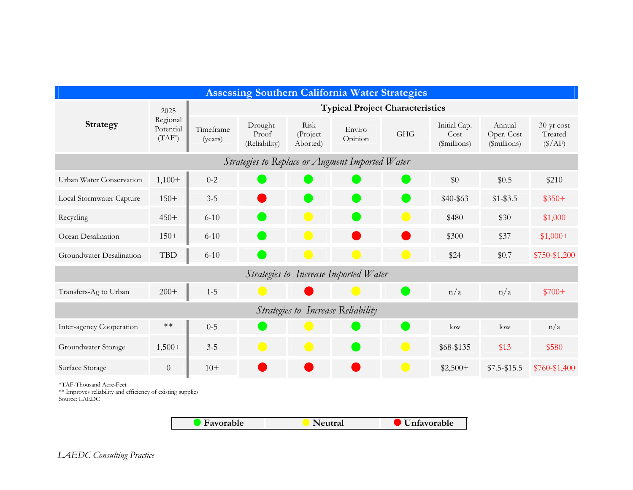| <b>Assessing Southern California Water Strategies</b>                                                                                                        |                                            |                                        |                                    |                               |                   |                              |                                      |                                      |                                           |  |
|--------------------------------------------------------------------------------------------------------------------------------------------------------------|--------------------------------------------|----------------------------------------|------------------------------------|-------------------------------|-------------------|------------------------------|--------------------------------------|--------------------------------------|-------------------------------------------|--|
| <b>Strategy</b>                                                                                                                                              | 2025<br>Regional<br>Potential<br>$(TAF^*)$ | <b>Typical Project Characteristics</b> |                                    |                               |                   |                              |                                      |                                      |                                           |  |
|                                                                                                                                                              |                                            | Timeframe<br>(years)                   | Drought-<br>Proof<br>(Reliability) | Risk<br>(Project)<br>Aborted) | Enviro<br>Opinion | <b>GHG</b>                   | Initial Cap.<br>Cost<br>(\$millions) | Annual<br>Oper. Cost<br>(\$millions) | 30-yr cost<br>Treated<br>$(\frac{$}{AF})$ |  |
| Strategies to Replace or Augment Imported Water                                                                                                              |                                            |                                        |                                    |                               |                   |                              |                                      |                                      |                                           |  |
| Urban Water Conservation                                                                                                                                     | $1,100+$                                   | $0 - 2$                                |                                    |                               |                   |                              | \$0                                  | \$0.5                                | \$210                                     |  |
| Local Stormwater Capture                                                                                                                                     | $150+$                                     | $3 - 5$                                |                                    |                               |                   |                              | \$40-\$63                            | $$1 - $3.5$                          | $$350+$                                   |  |
| Recycling                                                                                                                                                    | $450+$                                     | $6 - 10$                               |                                    | $\mathcal{L}(\mathcal{A})$    |                   | $\qquad \qquad \blacksquare$ | \$480                                | \$30                                 | \$1,000                                   |  |
| Ocean Desalination                                                                                                                                           | $150+$                                     | $6 - 10$                               |                                    |                               |                   |                              | \$300                                | \$37                                 | $$1,000+$                                 |  |
| Groundwater Desalination                                                                                                                                     | <b>TBD</b>                                 | $6 - 10$                               |                                    |                               |                   | o a                          | \$24                                 | \$0.7                                | \$750-\$1,200                             |  |
| Strategies to Increase Imported Water                                                                                                                        |                                            |                                        |                                    |                               |                   |                              |                                      |                                      |                                           |  |
| Transfers-Ag to Urban                                                                                                                                        | $200+$                                     | $1 - 5$                                |                                    |                               |                   |                              | n/a                                  | n/a                                  | $$700+$                                   |  |
| Strategies to Increase Reliability                                                                                                                           |                                            |                                        |                                    |                               |                   |                              |                                      |                                      |                                           |  |
| Inter-agency Cooperation                                                                                                                                     | $**$                                       | $0 - 5$                                |                                    |                               |                   | ×.                           | low                                  | low                                  | n/a                                       |  |
| Groundwater Storage                                                                                                                                          | $1,500+$                                   | $3 - 5$                                | $\qquad \qquad$                    | $\Box$                        |                   | $\qquad \qquad \blacksquare$ | \$68-\$135                           | \$13                                 | \$580                                     |  |
| Surface Storage                                                                                                                                              | $\boldsymbol{0}$                           | $10+$                                  |                                    |                               |                   | $\bullet$                    | $$2,500+$                            | $$7.5 - $15.5$                       | \$760-\$1,400                             |  |
| *TAF-Thousand Acre-Feet<br>** Improves reliability and efficiency of existing supplies<br>Source: LAEDC<br><b>Favorable</b><br>Neutral<br><b>Unfavorable</b> |                                            |                                        |                                    |                               |                   |                              |                                      |                                      |                                           |  |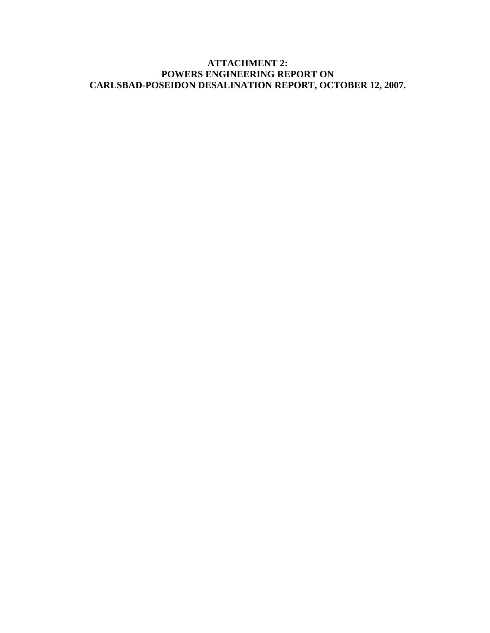## **ATTACHMENT 2: POWERS ENGINEERING REPORT ON CARLSBAD-POSEIDON DESALINATION REPORT, OCTOBER 12, 2007.**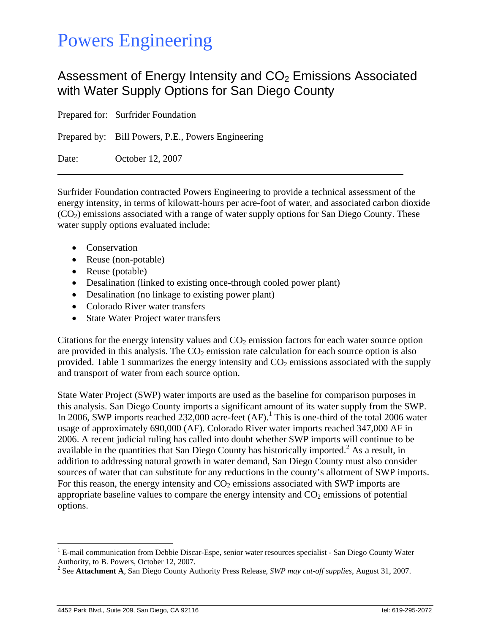# Powers Engineering

# Assessment of Energy Intensity and  $CO<sub>2</sub>$  Emissions Associated with Water Supply Options for San Diego County

Prepared for: Surfrider Foundation Prepared by: Bill Powers, P.E., Powers Engineering Date: October 12, 2007

Surfrider Foundation contracted Powers Engineering to provide a technical assessment of the energy intensity, in terms of kilowatt-hours per acre-foot of water, and associated carbon dioxide  $(CO<sub>2</sub>)$  emissions associated with a range of water supply options for San Diego County. These water supply options evaluated include:

• Conservation

 $\overline{a}$ 

- Reuse (non-potable)
- Reuse (potable)
- Desalination (linked to existing once-through cooled power plant)
- Desalination (no linkage to existing power plant)
- Colorado River water transfers
- State Water Project water transfers

Citations for the energy intensity values and  $CO<sub>2</sub>$  emission factors for each water source option are provided in this analysis. The  $CO<sub>2</sub>$  emission rate calculation for each source option is also provided. Table 1 summarizes the energy intensity and  $CO<sub>2</sub>$  emissions associated with the supply and transport of water from each source option.

State Water Project (SWP) water imports are used as the baseline for comparison purposes in this analysis. San Diego County imports a significant amount of its water supply from the SWP. In 2006, SWP imports reached 232,000 acre-feet  $(AF)$ .<sup>1</sup> This is one-third of the total 2006 water usage of approximately 690,000 (AF). Colorado River water imports reached 347,000 AF in 2006. A recent judicial ruling has called into doubt whether SWP imports will continue to be available in the quantities that San Diego County has historically imported. $^2$  As a result, in addition to addressing natural growth in water demand, San Diego County must also consider sources of water that can substitute for any reductions in the county's allotment of SWP imports. For this reason, the energy intensity and  $CO<sub>2</sub>$  emissions associated with SWP imports are appropriate baseline values to compare the energy intensity and  $CO<sub>2</sub>$  emissions of potential options.

<sup>&</sup>lt;sup>1</sup> E-mail communication from Debbie Discar-Espe, senior water resources specialist - San Diego County Water Authority, to B. Powers, October 12, 2007.

<sup>2</sup> See **Attachment A**, San Diego County Authority Press Release, *SWP may cut-off supplies*, August 31, 2007.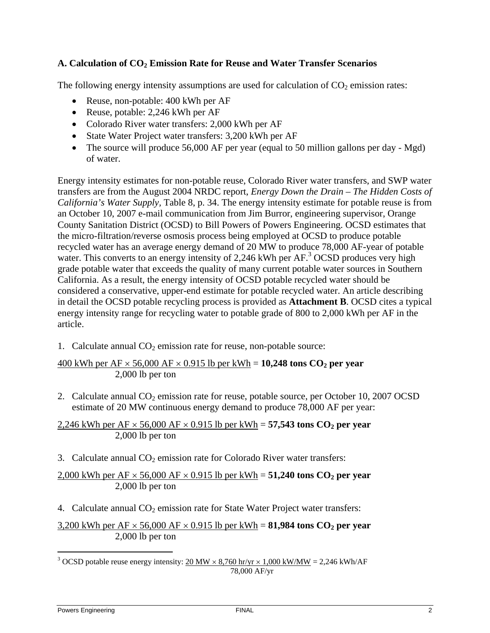## A. Calculation of CO<sub>2</sub> Emission Rate for Reuse and Water Transfer Scenarios

The following energy intensity assumptions are used for calculation of  $CO<sub>2</sub>$  emission rates:

- Reuse, non-potable: 400 kWh per AF
- Reuse, potable: 2,246 kWh per AF
- Colorado River water transfers: 2,000 kWh per AF
- State Water Project water transfers: 3,200 kWh per AF
- The source will produce 56,000 AF per year (equal to 50 million gallons per day Mgd) of water.

Energy intensity estimates for non-potable reuse, Colorado River water transfers, and SWP water transfers are from the August 2004 NRDC report, *Energy Down the Drain – The Hidden Costs of California's Water Supply,* Table 8, p. 34. The energy intensity estimate for potable reuse is from an October 10, 2007 e-mail communication from Jim Burror, engineering supervisor, Orange County Sanitation District (OCSD) to Bill Powers of Powers Engineering. OCSD estimates that the micro-filtration/reverse osmosis process being employed at OCSD to produce potable recycled water has an average energy demand of 20 MW to produce 78,000 AF-year of potable water. This converts to an energy intensity of 2,246 kWh per  $AF^3$  OCSD produces very high grade potable water that exceeds the quality of many current potable water sources in Southern California. As a result, the energy intensity of OCSD potable recycled water should be considered a conservative, upper-end estimate for potable recycled water. An article describing in detail the OCSD potable recycling process is provided as **Attachment B**. OCSD cites a typical energy intensity range for recycling water to potable grade of 800 to 2,000 kWh per AF in the article.

1. Calculate annual  $CO<sub>2</sub>$  emission rate for reuse, non-potable source:

400 kWh per  $AF \times 56,000$   $AF \times 0.915$  lb per kWh = 10,248 tons  $CO_2$  per year 2,000 lb per ton

2. Calculate annual  $CO_2$  emission rate for reuse, potable source, per October 10, 2007 OCSD estimate of 20 MW continuous energy demand to produce 78,000 AF per year:

2,246 kWh per  $AF \times 56,000$   $AF \times 0.915$  lb per kWh = 57,543 tons  $CO_2$  per year 2,000 lb per ton

3. Calculate annual  $CO<sub>2</sub>$  emission rate for Colorado River water transfers:

 $2,000$  kWh per AF  $\times$  56,000 AF  $\times$  0.915 lb per kWh = **51,240 tons CO<sub>2</sub> per year** 2,000 lb per ton

4. Calculate annual  $CO<sub>2</sub>$  emission rate for State Water Project water transfers:

3,200 kWh per  $AF \times 56,000$   $AF \times 0.915$  lb per kWh = **81,984 tons CO<sub>2</sub> per year** 2,000 lb per ton

 $\overline{a}$ 

<sup>&</sup>lt;sup>3</sup> OCSD potable reuse energy intensity:  $20 \text{ MW} \times 8,760 \text{ hr/yr} \times 1,000 \text{ kW/MW} = 2,246 \text{ kWh/AF}$ 78,000 AF/yr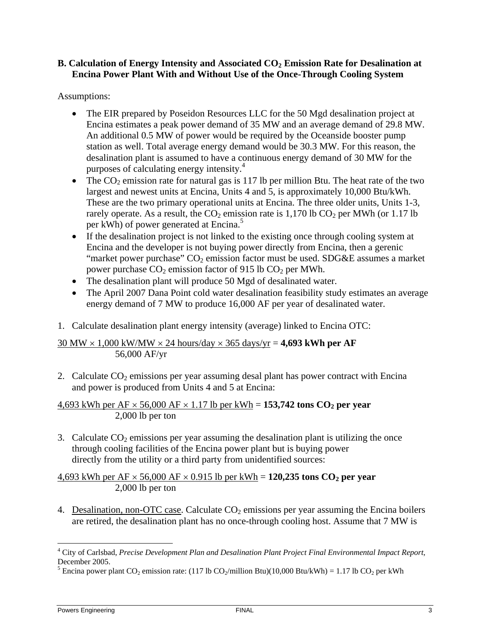#### **B. Calculation of Energy Intensity and Associated CO<sub>2</sub> Emission Rate for Desalination at Encina Power Plant With and Without Use of the Once-Through Cooling System**

### Assumptions:

- The EIR prepared by Poseidon Resources LLC for the 50 Mgd desalination project at Encina estimates a peak power demand of 35 MW and an average demand of 29.8 MW. An additional 0.5 MW of power would be required by the Oceanside booster pump station as well. Total average energy demand would be 30.3 MW. For this reason, the desalination plant is assumed to have a continuous energy demand of 30 MW for the purposes of calculating energy intensity.4
- The  $CO<sub>2</sub>$  emission rate for natural gas is 117 lb per million Btu. The heat rate of the two largest and newest units at Encina, Units 4 and 5, is approximately 10,000 Btu/kWh. These are the two primary operational units at Encina. The three older units, Units 1-3, rarely operate. As a result, the  $CO_2$  emission rate is 1,170 lb  $CO_2$  per MWh (or 1.17 lb per kWh) of power generated at Encina.<sup>5</sup>
- If the desalination project is not linked to the existing once through cooling system at Encina and the developer is not buying power directly from Encina, then a gerenic "market power purchase"  $CO<sub>2</sub>$  emission factor must be used. SDG&E assumes a market power purchase  $CO_2$  emission factor of 915 lb  $CO_2$  per MWh.
- The desalination plant will produce 50 Mgd of desalinated water.
- The April 2007 Dana Point cold water desalination feasibility study estimates an average energy demand of 7 MW to produce 16,000 AF per year of desalinated water.
- 1. Calculate desalination plant energy intensity (average) linked to Encina OTC:

### 30 MW × 1,000 kW/MW × 24 hours/day × 365 days/yr = **4,693 kWh per AF** 56,000 AF/yr

2. Calculate  $CO<sub>2</sub>$  emissions per year assuming desal plant has power contract with Encina and power is produced from Units 4 and 5 at Encina:

 $4,693$  kWh per AF  $\times$  56,000 AF  $\times$  1.17 lb per kWh = 153,742 tons CO<sub>2</sub> per year 2,000 lb per ton

3. Calculate  $CO<sub>2</sub>$  emissions per year assuming the desalination plant is utilizing the once through cooling facilities of the Encina power plant but is buying power directly from the utility or a third party from unidentified sources:

4,693 kWh per  $AF \times 56,000$   $AF \times 0.915$  lb per kWh = 120,235 tons  $CO_2$  per year 2,000 lb per ton

4. Desalination, non-OTC case. Calculate  $CO<sub>2</sub>$  emissions per year assuming the Encina boilers are retired, the desalination plant has no once-through cooling host. Assume that 7 MW is

 $\overline{a}$ 

<sup>4</sup> City of Carlsbad, *Precise Development Plan and Desalination Plant Project Final Environmental Impact Report*, December 2005.

<sup>&</sup>lt;sup>5</sup> Encina power plant CO<sub>2</sub> emission rate: (117 lb CO<sub>2</sub>/million Btu)(10,000 Btu/kWh) = 1.17 lb CO<sub>2</sub> per kWh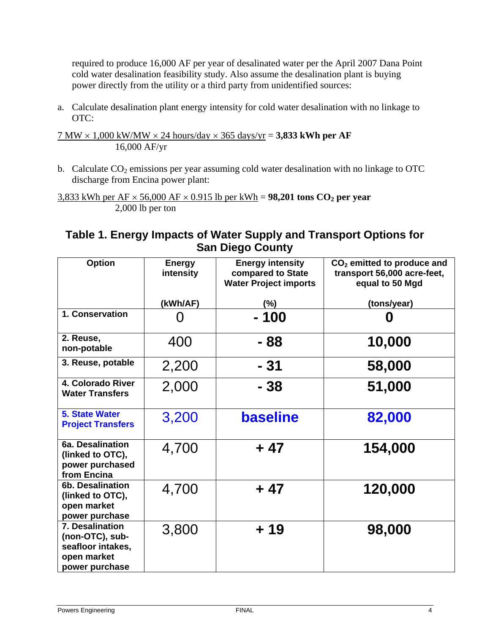required to produce 16,000 AF per year of desalinated water per the April 2007 Dana Point cold water desalination feasibility study. Also assume the desalination plant is buying power directly from the utility or a third party from unidentified sources:

a. Calculate desalination plant energy intensity for cold water desalination with no linkage to OTC:

7 MW × 1,000 kW/MW × 24 hours/day × 365 days/yr = **3,833 kWh per AF** 16,000 AF/yr

b. Calculate  $CO<sub>2</sub>$  emissions per year assuming cold water desalination with no linkage to OTC discharge from Encina power plant:

 $3,833$  kWh per AF  $\times$  56,000 AF  $\times$  0.915 lb per kWh = **98,201 tons CO<sub>2</sub> per year** 2,000 lb per ton

# **Table 1. Energy Impacts of Water Supply and Transport Options for San Diego County**

| <b>Option</b>                                                                            | <b>Energy</b><br>intensity | <b>Energy intensity</b><br>compared to State<br><b>Water Project imports</b> | $CO2$ emitted to produce and<br>transport 56,000 acre-feet,<br>equal to 50 Mgd |
|------------------------------------------------------------------------------------------|----------------------------|------------------------------------------------------------------------------|--------------------------------------------------------------------------------|
|                                                                                          | (kWh/AF)                   | (%)                                                                          | (tons/year)                                                                    |
| 1. Conservation                                                                          |                            | - 100                                                                        | O                                                                              |
| 2. Reuse,<br>non-potable                                                                 | 400                        | - 88                                                                         | 10,000                                                                         |
| 3. Reuse, potable                                                                        | 2,200                      | $-31$                                                                        | 58,000                                                                         |
| 4. Colorado River<br><b>Water Transfers</b>                                              | 2,000                      | - 38                                                                         | 51,000                                                                         |
| <b>5. State Water</b><br><b>Project Transfers</b>                                        | 3,200                      | <b>baseline</b>                                                              | 82,000                                                                         |
| 6a. Desalination<br>(linked to OTC),<br>power purchased<br>from Encina                   | 4,700                      | $+47$                                                                        | 154,000                                                                        |
| <b>6b. Desalination</b><br>(linked to OTC),<br>open market<br>power purchase             | 4,700                      | $+47$                                                                        | 120,000                                                                        |
| 7. Desalination<br>(non-OTC), sub-<br>seafloor intakes,<br>open market<br>power purchase | 3,800                      | $+19$                                                                        | 98,000                                                                         |